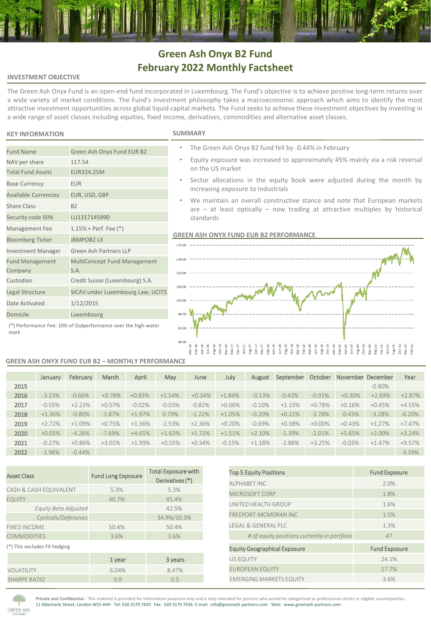# **Green Ash Onyx B2 Fund February 2022 Monthly Factsheet**

## **INVESTMENT OBJECTIVE**

The Green Ash Onyx Fund is an open-end fund incorporated in Luxembourg. The Fund's objective is to achieve positive long-term returns over a wide variety of market conditions. The Fund's investment philosophy takes a macroeconomic approach which aims to identify the most attractive investment opportunities across global liquid capital markets. The Fund seeks to achieve these investment objectives by investing in a wide range of asset classes including equities, fixed income, derivatives, commodities and alternative asset classes.

# **KEY INFORMATION SUMMARY**

NAV per share 117.54 Total Fund Assets EUR324.25M Base Currency **EUR** 

Share Class B2

Fund Management Company

Available Currencies EUR, USD, GBP

Security code ISIN LU1317145990 Management Fee 1.15% + Perf. Fee (\*) Bloomberg Ticker JBMPOB2 LX

Date Activated 1/12/2015 Domicile Luxembourg

Investment Manager Green Ash Partners LLP

S.A. Custodian Credit Suisse (Luxembourg) S.A. Legal Structure SICAV under Luxembourg Law, UCITS

- The Green Ash Onyx B2 fund fell by -0.44% in February
- Equity exposure was increased to approximately 45% mainly via a risk reversal on the US market
- Sector allocations in the equity book were adjusted during the month by increasing exposure to Industrials
- We maintain an overall constructive stance and note that European markets are – at least optically – now trading at attractive multiples by historical standards

# **GREEN ASH ONYX FUND EUR B2 PERFORMANCE**



#### (\*) Performance Fee: 10% of Outperformance over the high-water mark

Fund Name Green Ash Onyx Fund EUR B2

### **GREEN ASH ONYX FUND EUR B2 – MONTHLY PERFORMANCE**

MultiConcept Fund Management

|      | January  | February | March    | April    | May      | June     | July     | August    | September | October   | November December |           | Year     |
|------|----------|----------|----------|----------|----------|----------|----------|-----------|-----------|-----------|-------------------|-----------|----------|
| 2015 |          |          |          |          |          |          |          |           |           |           |                   | $-0.80%$  |          |
| 2016 | $-3.23%$ | $-0.66%$ | $+0.78%$ | $+0.83%$ | $+1.54%$ | $+0.34%$ | $+1.84%$ | $-0.13%$  | $-0.43%$  | $-0.91%$  | $+0.30%$          | $+2.69%$  | $+2.87%$ |
| 2017 | $-0.55%$ | $+2.23%$ | $+0.57%$ | $-0.02%$ | $-0.03%$ | $-0.82%$ | $+0.66%$ | $-0.10\%$ | $+1.15%$  | $+0.78%$  | $+0.16%$          | $+0.45%$  | $+4.55%$ |
| 2018 | $+1.36%$ | $-0.80%$ | $-1.87%$ | $+1.97%$ | 0.79%    | $-1.22%$ | $+1.05%$ | $-0.20%$  | $+0.21%$  | $-3.78%$  | $-0.43%$          | $-3.28%$  | $-6.20%$ |
| 2019 | $+2.72%$ | $+1.09%$ | $+0.75%$ | $+1.36%$ | $-2.53%$ | $+2.36%$ | $+0.20%$ | $-0.69%$  | $+0.38%$  | $+0.00\%$ | $+0.43%$          | $+1.27%$  | $+7.47%$ |
| 2020 | $+0.05%$ | $-4.26%$ | $-7.69%$ | $+4.65%$ | $+1.63%$ | $+1.72%$ | $+1.51%$ | $+2.10%$  | $-1.39%$  | $-2.01%$  | $+5.65%$          | $+2.00\%$ | $+3.24%$ |
| 2021 | $-0.27%$ | $+0.86%$ | $+3.01%$ | $+1.99%$ | $+0.55%$ | $+0.34%$ | $-0.15%$ | $+1.18%$  | $-2.88%$  | $+3.25%$  | $-0.03%$          | $+1.47%$  | +9.57%   |
| 2022 | $-2.96%$ | $-0.44%$ |          |          |          |          |          |           |           |           |                   |           | $-3.39%$ |

| <b>Asset Class</b>           | <b>Fund Long Exposure</b> | <b>Total Exposure with</b><br>Derivatives (*) |  |  |
|------------------------------|---------------------------|-----------------------------------------------|--|--|
| CASH & CASH EQUIVALENT       | 5.3%                      | 5.3%                                          |  |  |
| <b>EQUITY</b>                | 40.7%                     | 45.4%                                         |  |  |
| Equity Beta Adjusted         |                           | 42.5%                                         |  |  |
| Cyclicals/Defensives         |                           | 34.9%/10.3%                                   |  |  |
| <b>FIXED INCOME</b>          | 50.4%                     | 50.4%                                         |  |  |
| <b>COMMODITIES</b>           | 3.6%                      | 3.6%                                          |  |  |
| (*) This excludes FX hedging |                           |                                               |  |  |
|                              | 1 year                    | 3 years                                       |  |  |
| VOLATILITY                   | 6.04%                     | 8.47%                                         |  |  |
| <b>SHARPE RATIO</b>          | 0.9                       | 0.5                                           |  |  |

| <b>Top 5 Equity Positions</b>                | <b>Fund Exposure</b> |
|----------------------------------------------|----------------------|
| AI PHABFT INC                                | 2.0%                 |
| MICROSOFT CORP                               | 1.8%                 |
| UNITED HEALTH GROUP                          | 1.6%                 |
| <b>FREEPORT-MCMORAN INC</b>                  | 1.5%                 |
| <b>IFGAI &amp; GENERAL PLC</b>               | 1.3%                 |
| # of equity positions currently in portfolio | 47                   |
| <b>Equity Geographical Exposure</b>          | <b>Fund Exposure</b> |
| <b>US EQUITY</b>                             | 24.1%                |
| <b>EUROPEAN EQUITY</b>                       | 17.7%                |
| <b>EMERGING MARKETS EQUITY</b>               | 3.6%                 |



**Private and Confidential -** This material is provided for information purposes only and is only intended for persons who would be categorised as professional clients or eligible counterparties. 11 Albemarle Street, London W1S 4HH Tel: 020 3170 7420 Fax: 020 3170 7426. E-mail: info@greenash-partners.com Web: www.greenash-partners.com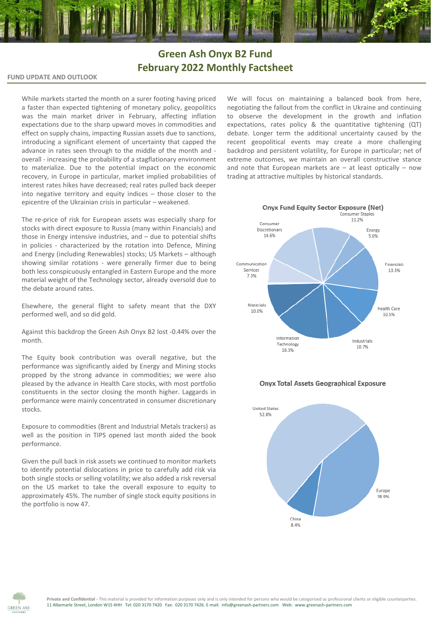# **Green Ash Onyx B2 Fund February 2022 Monthly Factsheet**

# **FUND UPDATE AND OUTLOOK**

While markets started the month on a surer footing having priced a faster than expected tightening of monetary policy, geopolitics was the main market driver in February, affecting inflation expectations due to the sharp upward moves in commodities and effect on supply chains, impacting Russian assets due to sanctions, introducing a significant element of uncertainty that capped the advance in rates seen through to the middle of the month and overall - increasing the probability of a stagflationary environment to materialize. Due to the potential impact on the economic recovery, in Europe in particular, market implied probabilities of interest rates hikes have decreased; real rates pulled back deeper into negative territory and equity indices – those closer to the epicentre of the Ukrainian crisis in particular – weakened.

The re-price of risk for European assets was especially sharp for stocks with direct exposure to Russia (many within Financials) and those in Energy intensive industries, and – due to potential shifts in policies - characterized by the rotation into Defence, Mining and Energy (including Renewables) stocks; US Markets – although showing similar rotations - were generally firmer due to being both less conspicuously entangled in Eastern Europe and the more material weight of the Technology sector, already oversold due to the debate around rates.

Elsewhere, the general flight to safety meant that the DXY performed well, and so did gold.

Against this backdrop the Green Ash Onyx B2 lost -0.44% over the month.

The Equity book contribution was overall negative, but the performance was significantly aided by Energy and Mining stocks propped by the strong advance in commodities; we were also pleased by the advance in Health Care stocks, with most portfolio constituents in the sector closing the month higher. Laggards in performance were mainly concentrated in consumer discretionary stocks.

Exposure to commodities (Brent and Industrial Metals trackers) as well as the position in TIPS opened last month aided the book performance.

Given the pull back in risk assets we continued to monitor markets to identify potential dislocations in price to carefully add risk via both single stocks or selling volatility; we also added a risk reversal on the US market to take the overall exposure to equity to approximately 45%. The number of single stock equity positions in the portfolio is now 47.

We will focus on maintaining a balanced book from here, negotiating the fallout from the conflict in Ukraine and continuing to observe the development in the growth and inflation expectations, rates policy & the quantitative tightening (QT) debate. Longer term the additional uncertainty caused by the recent geopolitical events may create a more challenging backdrop and persistent volatility, for Europe in particular; net of extreme outcomes, we maintain an overall constructive stance and note that European markets are  $-$  at least optically  $-$  now trading at attractive multiples by historical standards.